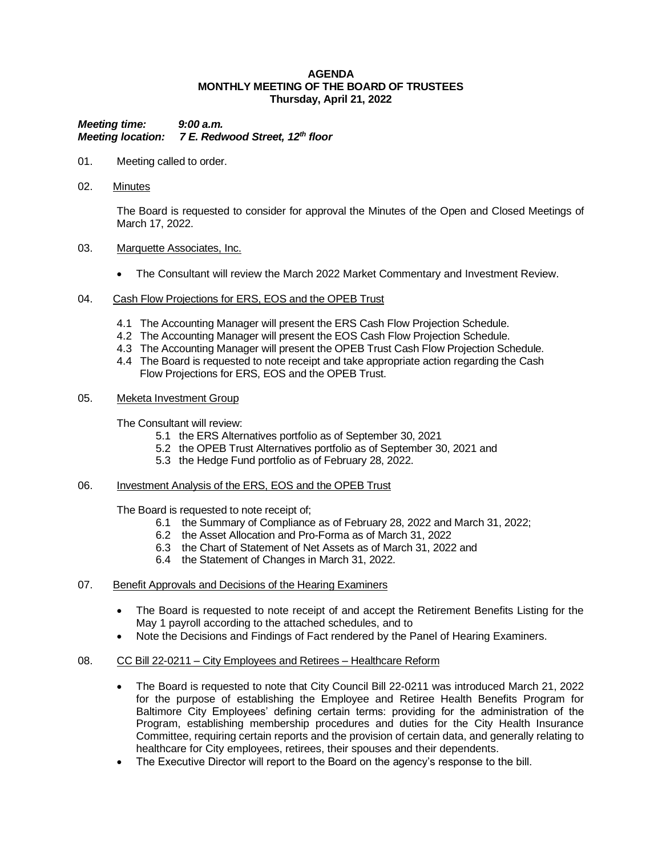### **AGENDA MONTHLY MEETING OF THE BOARD OF TRUSTEES Thursday, April 21, 2022**

*Meeting time: 9:00 a.m. Meeting location: 7 E. Redwood Street, 12th floor*

- 01. Meeting called to order.
- 02. Minutes

The Board is requested to consider for approval the Minutes of the Open and Closed Meetings of March 17, 2022.

### 03. Marquette Associates, Inc.

- The Consultant will review the March 2022 Market Commentary and Investment Review.
- 04. Cash Flow Projections for ERS, EOS and the OPEB Trust
	- 4.1 The Accounting Manager will present the ERS Cash Flow Projection Schedule.
	- 4.2 The Accounting Manager will present the EOS Cash Flow Projection Schedule.
	- 4.3 The Accounting Manager will present the OPEB Trust Cash Flow Projection Schedule.
	- 4.4 The Board is requested to note receipt and take appropriate action regarding the Cash Flow Projections for ERS, EOS and the OPEB Trust.
- 05. Meketa Investment Group

The Consultant will review:

- 5.1 the ERS Alternatives portfolio as of September 30, 2021
- 5.2 the OPEB Trust Alternatives portfolio as of September 30, 2021 and
- 5.3 the Hedge Fund portfolio as of February 28, 2022.

### 06. Investment Analysis of the ERS, EOS and the OPEB Trust

The Board is requested to note receipt of;

- 6.1 the Summary of Compliance as of February 28, 2022 and March 31, 2022;
- 6.2 the Asset Allocation and Pro-Forma as of March 31, 2022
- 6.3 the Chart of Statement of Net Assets as of March 31, 2022 and
- 6.4 the Statement of Changes in March 31, 2022.
- 07. Benefit Approvals and Decisions of the Hearing Examiners
	- The Board is requested to note receipt of and accept the Retirement Benefits Listing for the May 1 payroll according to the attached schedules, and to
	- Note the Decisions and Findings of Fact rendered by the Panel of Hearing Examiners.

# 08. CC Bill 22-0211 – City Employees and Retirees – Healthcare Reform

- The Board is requested to note that City Council Bill 22-0211 was introduced March 21, 2022 for the purpose of establishing the Employee and Retiree Health Benefits Program for Baltimore City Employees' defining certain terms: providing for the administration of the Program, establishing membership procedures and duties for the City Health Insurance Committee, requiring certain reports and the provision of certain data, and generally relating to healthcare for City employees, retirees, their spouses and their dependents.
- The Executive Director will report to the Board on the agency's response to the bill.